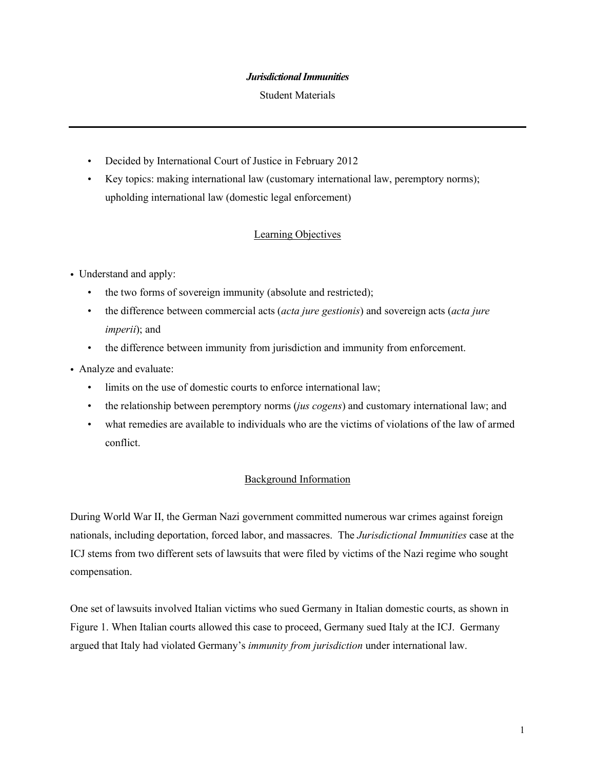## *Jurisdictional Immunities*

Student Materials

- Decided by International Court of Justice in February 2012
- Key topics: making international law (customary international law, peremptory norms); upholding international law (domestic legal enforcement)

# Learning Objectives

# • Understand and apply:

- the two forms of sovereign immunity (absolute and restricted);
- the difference between commercial acts (*acta jure gestionis*) and sovereign acts (*acta jure imperii*); and
- the difference between immunity from jurisdiction and immunity from enforcement.
- ! Analyze and evaluate:
	- limits on the use of domestic courts to enforce international law;
	- the relationship between peremptory norms (*jus cogens*) and customary international law; and
	- what remedies are available to individuals who are the victims of violations of the law of armed conflict.

# Background Information

During World War II, the German Nazi government committed numerous war crimes against foreign nationals, including deportation, forced labor, and massacres. The *Jurisdictional Immunities* case at the ICJ stems from two different sets of lawsuits that were filed by victims of the Nazi regime who sought compensation.

One set of lawsuits involved Italian victims who sued Germany in Italian domestic courts, as shown in Figure 1. When Italian courts allowed this case to proceed, Germany sued Italy at the ICJ. Germany argued that Italy had violated Germany's *immunity from jurisdiction* under international law.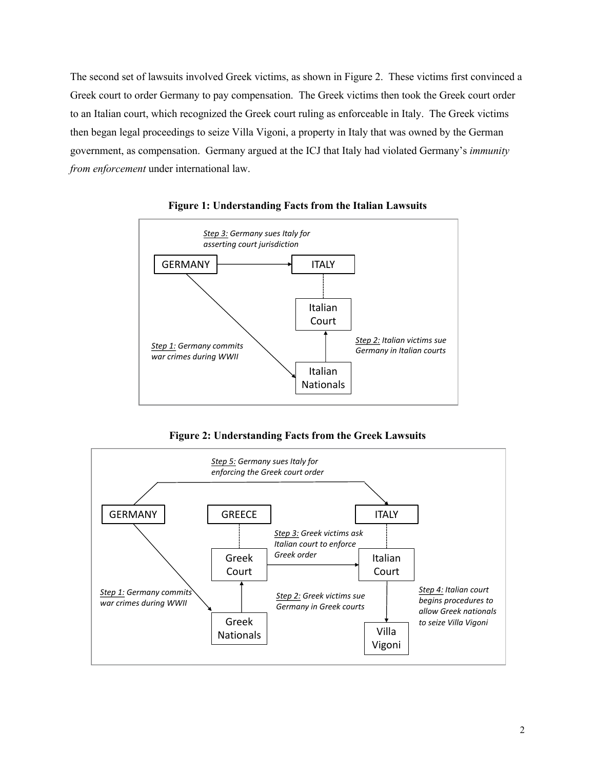The second set of lawsuits involved Greek victims, as shown in Figure 2. These victims first convinced a Greek court to order Germany to pay compensation. The Greek victims then took the Greek court order to an Italian court, which recognized the Greek court ruling as enforceable in Italy. The Greek victims then began legal proceedings to seize Villa Vigoni, a property in Italy that was owned by the German government, as compensation. Germany argued at the ICJ that Italy had violated Germany's *immunity from enforcement* under international law.





**Figure 2: Understanding Facts from the Greek Lawsuits**

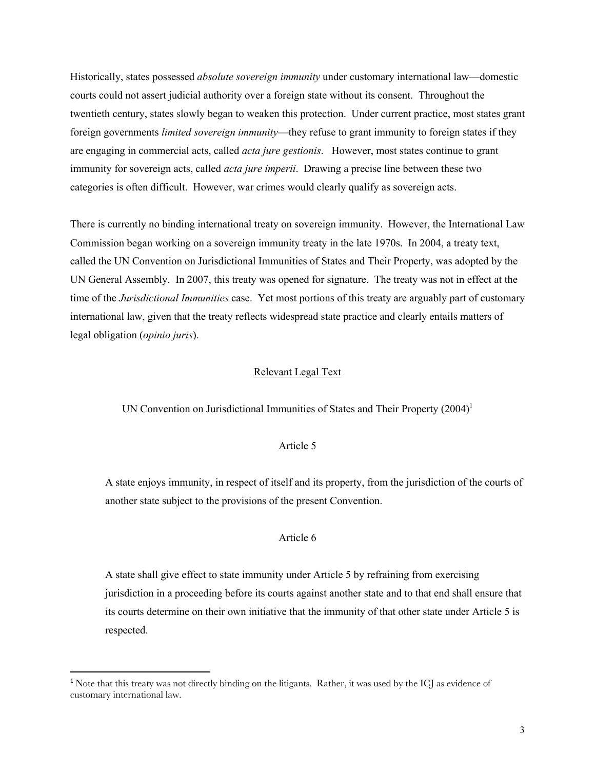Historically, states possessed *absolute sovereign immunity* under customary international law—domestic courts could not assert judicial authority over a foreign state without its consent. Throughout the twentieth century, states slowly began to weaken this protection. Under current practice, most states grant foreign governments *limited sovereign immunity*—they refuse to grant immunity to foreign states if they are engaging in commercial acts, called *acta jure gestionis*. However, most states continue to grant immunity for sovereign acts, called *acta jure imperii*. Drawing a precise line between these two categories is often difficult. However, war crimes would clearly qualify as sovereign acts.

There is currently no binding international treaty on sovereign immunity. However, the International Law Commission began working on a sovereign immunity treaty in the late 1970s. In 2004, a treaty text, called the UN Convention on Jurisdictional Immunities of States and Their Property, was adopted by the UN General Assembly. In 2007, this treaty was opened for signature. The treaty was not in effect at the time of the *Jurisdictional Immunities* case. Yet most portions of this treaty are arguably part of customary international law, given that the treaty reflects widespread state practice and clearly entails matters of legal obligation (*opinio juris*).

#### Relevant Legal Text

UN Convention on Jurisdictional Immunities of States and Their Property  $(2004)^1$ 

## Article 5

A state enjoys immunity, in respect of itself and its property, from the jurisdiction of the courts of another state subject to the provisions of the present Convention.

## Article 6

A state shall give effect to state immunity under Article 5 by refraining from exercising jurisdiction in a proceeding before its courts against another state and to that end shall ensure that its courts determine on their own initiative that the immunity of that other state under Article 5 is respected.

<sup>1</sup> Note that this treaty was not directly binding on the litigants. Rather, it was used by the ICJ as evidence of customary international law.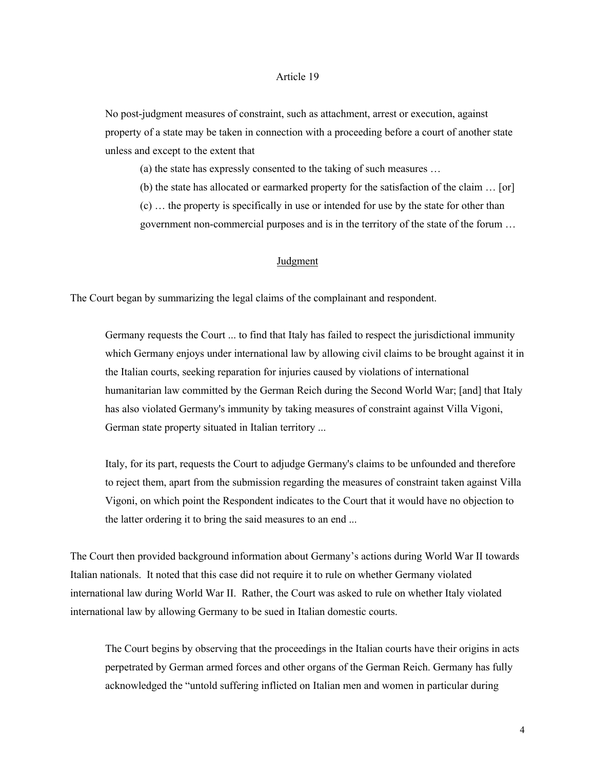### Article 19

No post-judgment measures of constraint, such as attachment, arrest or execution, against property of a state may be taken in connection with a proceeding before a court of another state unless and except to the extent that

(a) the state has expressly consented to the taking of such measures …

(b) the state has allocated or earmarked property for the satisfaction of the claim … [or]

(c) … the property is specifically in use or intended for use by the state for other than

government non-commercial purposes and is in the territory of the state of the forum …

## Judgment

The Court began by summarizing the legal claims of the complainant and respondent.

Germany requests the Court ... to find that Italy has failed to respect the jurisdictional immunity which Germany enjoys under international law by allowing civil claims to be brought against it in the Italian courts, seeking reparation for injuries caused by violations of international humanitarian law committed by the German Reich during the Second World War; [and] that Italy has also violated Germany's immunity by taking measures of constraint against Villa Vigoni, German state property situated in Italian territory ...

Italy, for its part, requests the Court to adjudge Germany's claims to be unfounded and therefore to reject them, apart from the submission regarding the measures of constraint taken against Villa Vigoni, on which point the Respondent indicates to the Court that it would have no objection to the latter ordering it to bring the said measures to an end ...

The Court then provided background information about Germany's actions during World War II towards Italian nationals. It noted that this case did not require it to rule on whether Germany violated international law during World War II. Rather, the Court was asked to rule on whether Italy violated international law by allowing Germany to be sued in Italian domestic courts.

The Court begins by observing that the proceedings in the Italian courts have their origins in acts perpetrated by German armed forces and other organs of the German Reich. Germany has fully acknowledged the "untold suffering inflicted on Italian men and women in particular during

4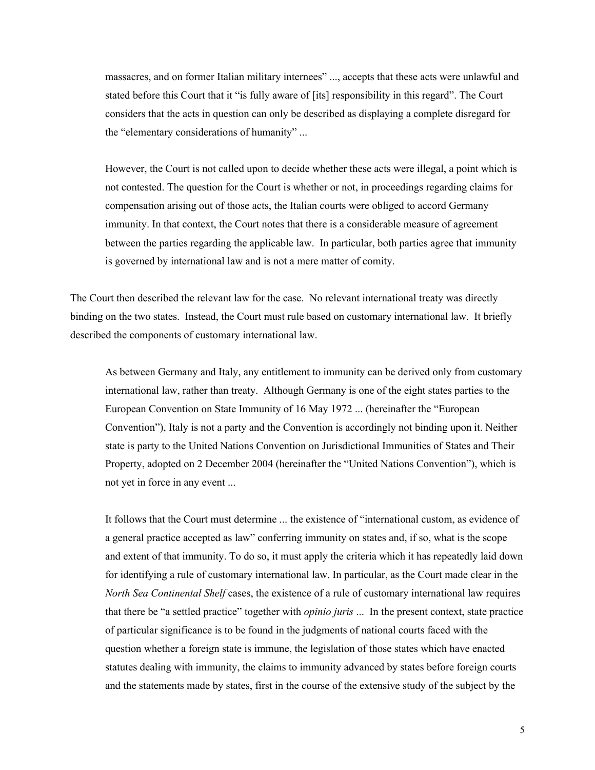massacres, and on former Italian military internees" ..., accepts that these acts were unlawful and stated before this Court that it "is fully aware of [its] responsibility in this regard". The Court considers that the acts in question can only be described as displaying a complete disregard for the "elementary considerations of humanity" ...

However, the Court is not called upon to decide whether these acts were illegal, a point which is not contested. The question for the Court is whether or not, in proceedings regarding claims for compensation arising out of those acts, the Italian courts were obliged to accord Germany immunity. In that context, the Court notes that there is a considerable measure of agreement between the parties regarding the applicable law. In particular, both parties agree that immunity is governed by international law and is not a mere matter of comity.

The Court then described the relevant law for the case. No relevant international treaty was directly binding on the two states. Instead, the Court must rule based on customary international law. It briefly described the components of customary international law.

As between Germany and Italy, any entitlement to immunity can be derived only from customary international law, rather than treaty. Although Germany is one of the eight states parties to the European Convention on State Immunity of 16 May 1972 ... (hereinafter the "European Convention"), Italy is not a party and the Convention is accordingly not binding upon it. Neither state is party to the United Nations Convention on Jurisdictional Immunities of States and Their Property, adopted on 2 December 2004 (hereinafter the "United Nations Convention"), which is not yet in force in any event ...

It follows that the Court must determine ... the existence of "international custom, as evidence of a general practice accepted as law" conferring immunity on states and, if so, what is the scope and extent of that immunity. To do so, it must apply the criteria which it has repeatedly laid down for identifying a rule of customary international law. In particular, as the Court made clear in the *North Sea Continental Shelf* cases, the existence of a rule of customary international law requires that there be "a settled practice" together with *opinio juris* ... In the present context, state practice of particular significance is to be found in the judgments of national courts faced with the question whether a foreign state is immune, the legislation of those states which have enacted statutes dealing with immunity, the claims to immunity advanced by states before foreign courts and the statements made by states, first in the course of the extensive study of the subject by the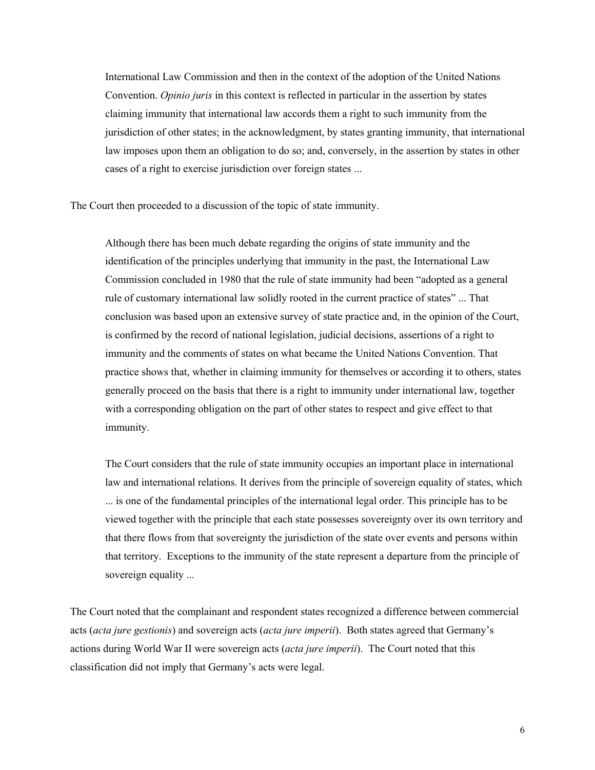International Law Commission and then in the context of the adoption of the United Nations Convention. *Opinio juris* in this context is reflected in particular in the assertion by states claiming immunity that international law accords them a right to such immunity from the jurisdiction of other states; in the acknowledgment, by states granting immunity, that international law imposes upon them an obligation to do so; and, conversely, in the assertion by states in other cases of a right to exercise jurisdiction over foreign states ...

The Court then proceeded to a discussion of the topic of state immunity.

Although there has been much debate regarding the origins of state immunity and the identification of the principles underlying that immunity in the past, the International Law Commission concluded in 1980 that the rule of state immunity had been "adopted as a general rule of customary international law solidly rooted in the current practice of states" ... That conclusion was based upon an extensive survey of state practice and, in the opinion of the Court, is confirmed by the record of national legislation, judicial decisions, assertions of a right to immunity and the comments of states on what became the United Nations Convention. That practice shows that, whether in claiming immunity for themselves or according it to others, states generally proceed on the basis that there is a right to immunity under international law, together with a corresponding obligation on the part of other states to respect and give effect to that immunity.

The Court considers that the rule of state immunity occupies an important place in international law and international relations. It derives from the principle of sovereign equality of states, which ... is one of the fundamental principles of the international legal order. This principle has to be viewed together with the principle that each state possesses sovereignty over its own territory and that there flows from that sovereignty the jurisdiction of the state over events and persons within that territory. Exceptions to the immunity of the state represent a departure from the principle of sovereign equality ...

The Court noted that the complainant and respondent states recognized a difference between commercial acts (*acta jure gestionis*) and sovereign acts (*acta jure imperii*). Both states agreed that Germany's actions during World War II were sovereign acts (*acta jure imperii*). The Court noted that this classification did not imply that Germany's acts were legal.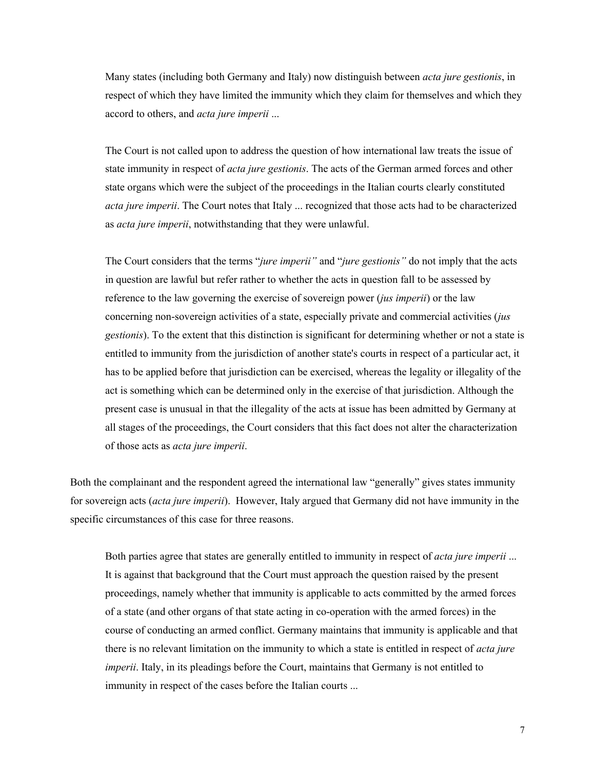Many states (including both Germany and Italy) now distinguish between *acta jure gestionis*, in respect of which they have limited the immunity which they claim for themselves and which they accord to others, and *acta jure imperii* ...

The Court is not called upon to address the question of how international law treats the issue of state immunity in respect of *acta jure gestionis*. The acts of the German armed forces and other state organs which were the subject of the proceedings in the Italian courts clearly constituted *acta jure imperii*. The Court notes that Italy ... recognized that those acts had to be characterized as *acta jure imperii*, notwithstanding that they were unlawful.

The Court considers that the terms "*jure imperii"* and "*jure gestionis"* do not imply that the acts in question are lawful but refer rather to whether the acts in question fall to be assessed by reference to the law governing the exercise of sovereign power (*jus imperii*) or the law concerning non-sovereign activities of a state, especially private and commercial activities (*jus gestionis*). To the extent that this distinction is significant for determining whether or not a state is entitled to immunity from the jurisdiction of another state's courts in respect of a particular act, it has to be applied before that jurisdiction can be exercised, whereas the legality or illegality of the act is something which can be determined only in the exercise of that jurisdiction. Although the present case is unusual in that the illegality of the acts at issue has been admitted by Germany at all stages of the proceedings, the Court considers that this fact does not alter the characterization of those acts as *acta jure imperii*.

Both the complainant and the respondent agreed the international law "generally" gives states immunity for sovereign acts (*acta jure imperii*). However, Italy argued that Germany did not have immunity in the specific circumstances of this case for three reasons.

Both parties agree that states are generally entitled to immunity in respect of *acta jure imperii* ... It is against that background that the Court must approach the question raised by the present proceedings, namely whether that immunity is applicable to acts committed by the armed forces of a state (and other organs of that state acting in co-operation with the armed forces) in the course of conducting an armed conflict. Germany maintains that immunity is applicable and that there is no relevant limitation on the immunity to which a state is entitled in respect of *acta jure imperii*. Italy, in its pleadings before the Court, maintains that Germany is not entitled to immunity in respect of the cases before the Italian courts ...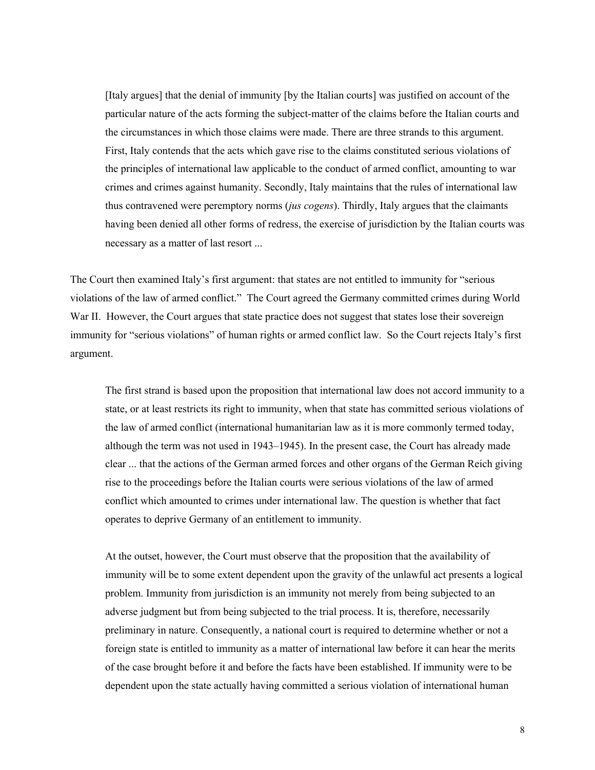[Italy argues] that the denial of immunity [by the Italian courts] was justified on account of the particular nature of the acts forming the subject-matter of the claims before the Italian courts and the circumstances in which those claims were made. There are three strands to this argument. First, Italy contends that the acts which gave rise to the claims constituted serious violations of the principles of international law applicable to the conduct of armed conflict, amounting to war crimes and crimes against humanity. Secondly, Italy maintains that the rules of international law thus contravened were peremptory norms (*jus cogens*). Thirdly, Italy argues that the claimants having been denied all other forms of redress, the exercise of jurisdiction by the Italian courts was necessary as a matter of last resort ...

The Court then examined Italy's first argument: that states are not entitled to immunity for "serious violations of the law of armed conflict." The Court agreed the Germany committed crimes during World War II. However, the Court argues that state practice does not suggest that states lose their sovereign immunity for "serious violations" of human rights or armed conflict law. So the Court rejects Italy's first argument.

The first strand is based upon the proposition that international law does not accord immunity to a state, or at least restricts its right to immunity, when that state has committed serious violations of the law of armed conflict (international humanitarian law as it is more commonly termed today, although the term was not used in 1943–1945). In the present case, the Court has already made clear ... that the actions of the German armed forces and other organs of the German Reich giving rise to the proceedings before the Italian courts were serious violations of the law of armed conflict which amounted to crimes under international law. The question is whether that fact operates to deprive Germany of an entitlement to immunity.

At the outset, however, the Court must observe that the proposition that the availability of immunity will be to some extent dependent upon the gravity of the unlawful act presents a logical problem. Immunity from jurisdiction is an immunity not merely from being subjected to an adverse judgment but from being subjected to the trial process. It is, therefore, necessarily preliminary in nature. Consequently, a national court is required to determine whether or not a foreign state is entitled to immunity as a matter of international law before it can hear the merits of the case brought before it and before the facts have been established. If immunity were to be dependent upon the state actually having committed a serious violation of international human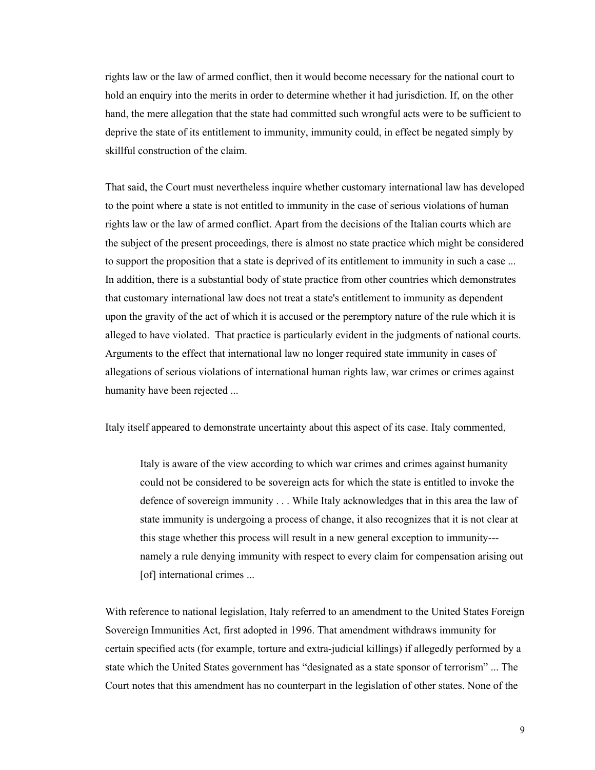rights law or the law of armed conflict, then it would become necessary for the national court to hold an enquiry into the merits in order to determine whether it had jurisdiction. If, on the other hand, the mere allegation that the state had committed such wrongful acts were to be sufficient to deprive the state of its entitlement to immunity, immunity could, in effect be negated simply by skillful construction of the claim.

That said, the Court must nevertheless inquire whether customary international law has developed to the point where a state is not entitled to immunity in the case of serious violations of human rights law or the law of armed conflict. Apart from the decisions of the Italian courts which are the subject of the present proceedings, there is almost no state practice which might be considered to support the proposition that a state is deprived of its entitlement to immunity in such a case ... In addition, there is a substantial body of state practice from other countries which demonstrates that customary international law does not treat a state's entitlement to immunity as dependent upon the gravity of the act of which it is accused or the peremptory nature of the rule which it is alleged to have violated. That practice is particularly evident in the judgments of national courts. Arguments to the effect that international law no longer required state immunity in cases of allegations of serious violations of international human rights law, war crimes or crimes against humanity have been rejected ...

Italy itself appeared to demonstrate uncertainty about this aspect of its case. Italy commented,

Italy is aware of the view according to which war crimes and crimes against humanity could not be considered to be sovereign acts for which the state is entitled to invoke the defence of sovereign immunity . . . While Italy acknowledges that in this area the law of state immunity is undergoing a process of change, it also recognizes that it is not clear at this stage whether this process will result in a new general exception to immunity-- namely a rule denying immunity with respect to every claim for compensation arising out [of] international crimes ...

With reference to national legislation, Italy referred to an amendment to the United States Foreign Sovereign Immunities Act, first adopted in 1996. That amendment withdraws immunity for certain specified acts (for example, torture and extra-judicial killings) if allegedly performed by a state which the United States government has "designated as a state sponsor of terrorism" ... The Court notes that this amendment has no counterpart in the legislation of other states. None of the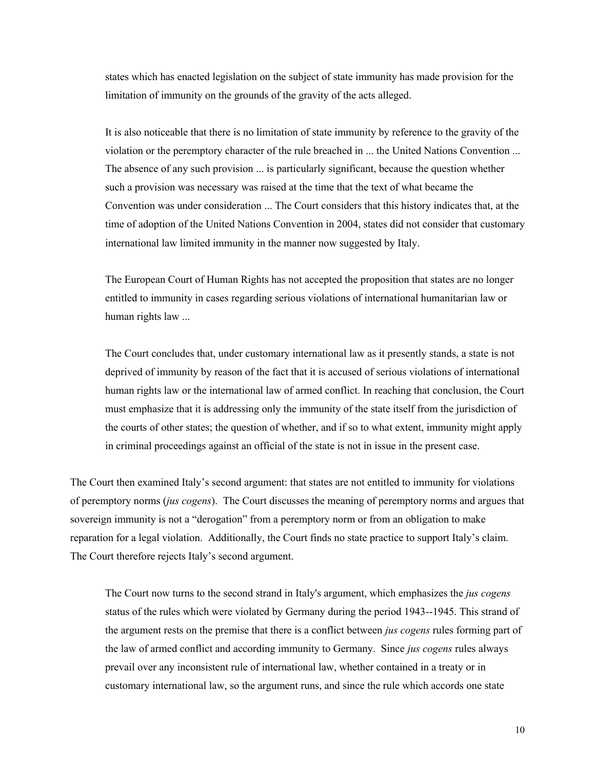states which has enacted legislation on the subject of state immunity has made provision for the limitation of immunity on the grounds of the gravity of the acts alleged.

It is also noticeable that there is no limitation of state immunity by reference to the gravity of the violation or the peremptory character of the rule breached in ... the United Nations Convention ... The absence of any such provision ... is particularly significant, because the question whether such a provision was necessary was raised at the time that the text of what became the Convention was under consideration ... The Court considers that this history indicates that, at the time of adoption of the United Nations Convention in 2004, states did not consider that customary international law limited immunity in the manner now suggested by Italy.

The European Court of Human Rights has not accepted the proposition that states are no longer entitled to immunity in cases regarding serious violations of international humanitarian law or human rights law ...

The Court concludes that, under customary international law as it presently stands, a state is not deprived of immunity by reason of the fact that it is accused of serious violations of international human rights law or the international law of armed conflict. In reaching that conclusion, the Court must emphasize that it is addressing only the immunity of the state itself from the jurisdiction of the courts of other states; the question of whether, and if so to what extent, immunity might apply in criminal proceedings against an official of the state is not in issue in the present case.

The Court then examined Italy's second argument: that states are not entitled to immunity for violations of peremptory norms (*jus cogens*). The Court discusses the meaning of peremptory norms and argues that sovereign immunity is not a "derogation" from a peremptory norm or from an obligation to make reparation for a legal violation. Additionally, the Court finds no state practice to support Italy's claim. The Court therefore rejects Italy's second argument.

The Court now turns to the second strand in Italy's argument, which emphasizes the *jus cogens* status of the rules which were violated by Germany during the period 1943--1945. This strand of the argument rests on the premise that there is a conflict between *jus cogens* rules forming part of the law of armed conflict and according immunity to Germany. Since *jus cogens* rules always prevail over any inconsistent rule of international law, whether contained in a treaty or in customary international law, so the argument runs, and since the rule which accords one state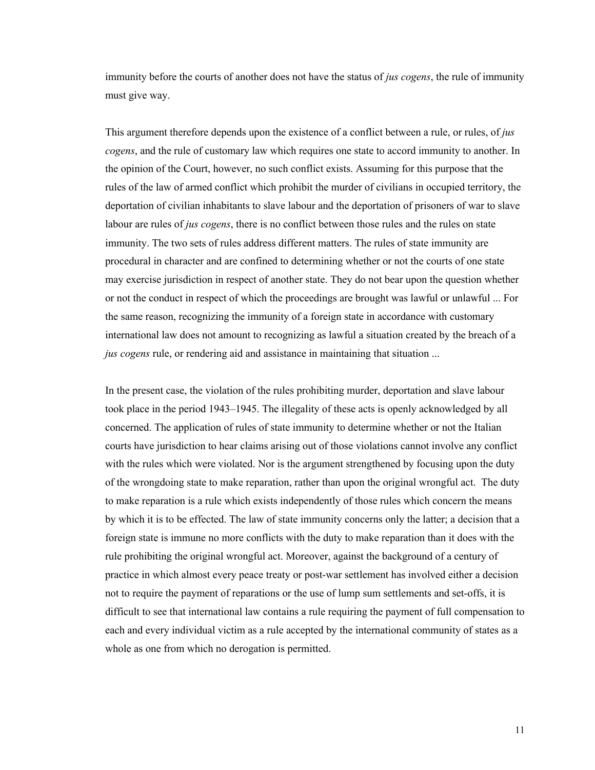immunity before the courts of another does not have the status of *jus cogens*, the rule of immunity must give way.

This argument therefore depends upon the existence of a conflict between a rule, or rules, of *jus cogens*, and the rule of customary law which requires one state to accord immunity to another. In the opinion of the Court, however, no such conflict exists. Assuming for this purpose that the rules of the law of armed conflict which prohibit the murder of civilians in occupied territory, the deportation of civilian inhabitants to slave labour and the deportation of prisoners of war to slave labour are rules of *jus cogens*, there is no conflict between those rules and the rules on state immunity. The two sets of rules address different matters. The rules of state immunity are procedural in character and are confined to determining whether or not the courts of one state may exercise jurisdiction in respect of another state. They do not bear upon the question whether or not the conduct in respect of which the proceedings are brought was lawful or unlawful ... For the same reason, recognizing the immunity of a foreign state in accordance with customary international law does not amount to recognizing as lawful a situation created by the breach of a *jus cogens* rule, or rendering aid and assistance in maintaining that situation ...

In the present case, the violation of the rules prohibiting murder, deportation and slave labour took place in the period 1943–1945. The illegality of these acts is openly acknowledged by all concerned. The application of rules of state immunity to determine whether or not the Italian courts have jurisdiction to hear claims arising out of those violations cannot involve any conflict with the rules which were violated. Nor is the argument strengthened by focusing upon the duty of the wrongdoing state to make reparation, rather than upon the original wrongful act. The duty to make reparation is a rule which exists independently of those rules which concern the means by which it is to be effected. The law of state immunity concerns only the latter; a decision that a foreign state is immune no more conflicts with the duty to make reparation than it does with the rule prohibiting the original wrongful act. Moreover, against the background of a century of practice in which almost every peace treaty or post-war settlement has involved either a decision not to require the payment of reparations or the use of lump sum settlements and set-offs, it is difficult to see that international law contains a rule requiring the payment of full compensation to each and every individual victim as a rule accepted by the international community of states as a whole as one from which no derogation is permitted.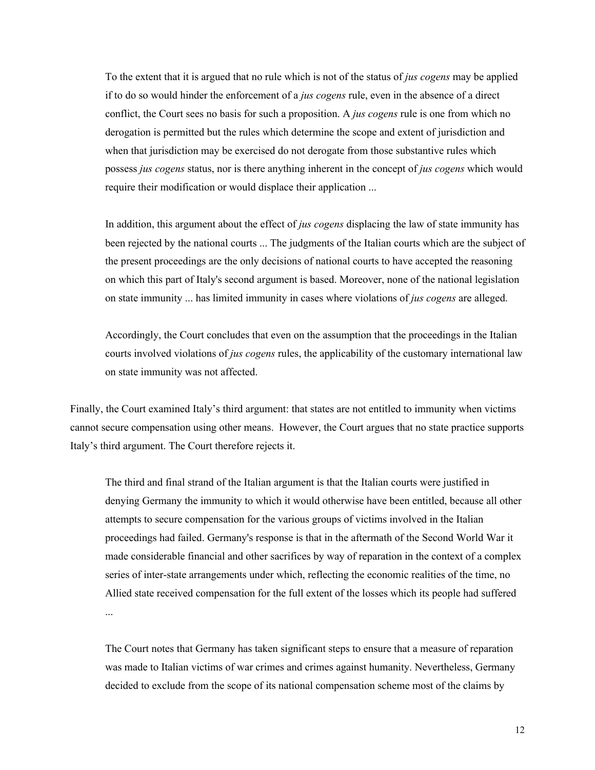To the extent that it is argued that no rule which is not of the status of *jus cogens* may be applied if to do so would hinder the enforcement of a *jus cogens* rule, even in the absence of a direct conflict, the Court sees no basis for such a proposition. A *jus cogens* rule is one from which no derogation is permitted but the rules which determine the scope and extent of jurisdiction and when that jurisdiction may be exercised do not derogate from those substantive rules which possess *jus cogens* status, nor is there anything inherent in the concept of *jus cogens* which would require their modification or would displace their application ...

In addition, this argument about the effect of *jus cogens* displacing the law of state immunity has been rejected by the national courts ... The judgments of the Italian courts which are the subject of the present proceedings are the only decisions of national courts to have accepted the reasoning on which this part of Italy's second argument is based. Moreover, none of the national legislation on state immunity ... has limited immunity in cases where violations of *jus cogens* are alleged.

Accordingly, the Court concludes that even on the assumption that the proceedings in the Italian courts involved violations of *jus cogens* rules, the applicability of the customary international law on state immunity was not affected.

Finally, the Court examined Italy's third argument: that states are not entitled to immunity when victims cannot secure compensation using other means. However, the Court argues that no state practice supports Italy's third argument. The Court therefore rejects it.

The third and final strand of the Italian argument is that the Italian courts were justified in denying Germany the immunity to which it would otherwise have been entitled, because all other attempts to secure compensation for the various groups of victims involved in the Italian proceedings had failed. Germany's response is that in the aftermath of the Second World War it made considerable financial and other sacrifices by way of reparation in the context of a complex series of inter-state arrangements under which, reflecting the economic realities of the time, no Allied state received compensation for the full extent of the losses which its people had suffered ...

The Court notes that Germany has taken significant steps to ensure that a measure of reparation was made to Italian victims of war crimes and crimes against humanity. Nevertheless, Germany decided to exclude from the scope of its national compensation scheme most of the claims by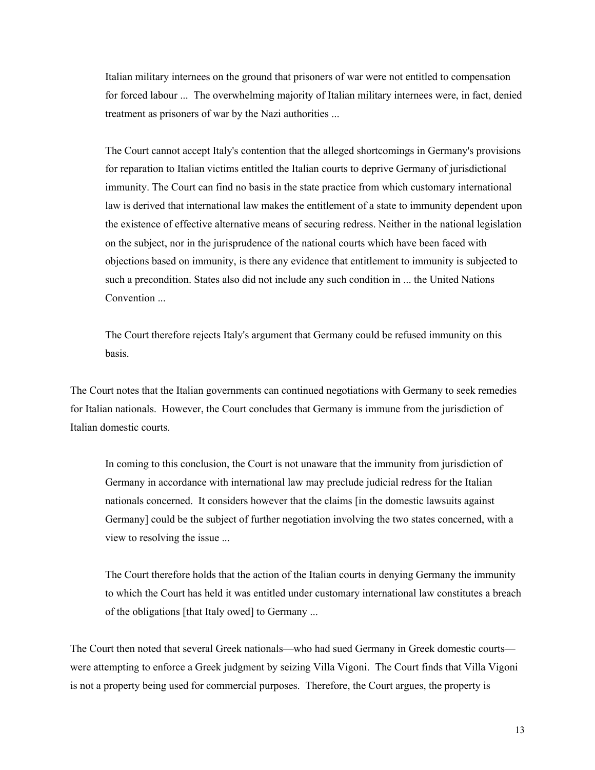Italian military internees on the ground that prisoners of war were not entitled to compensation for forced labour ... The overwhelming majority of Italian military internees were, in fact, denied treatment as prisoners of war by the Nazi authorities ...

The Court cannot accept Italy's contention that the alleged shortcomings in Germany's provisions for reparation to Italian victims entitled the Italian courts to deprive Germany of jurisdictional immunity. The Court can find no basis in the state practice from which customary international law is derived that international law makes the entitlement of a state to immunity dependent upon the existence of effective alternative means of securing redress. Neither in the national legislation on the subject, nor in the jurisprudence of the national courts which have been faced with objections based on immunity, is there any evidence that entitlement to immunity is subjected to such a precondition. States also did not include any such condition in ... the United Nations Convention ...

The Court therefore rejects Italy's argument that Germany could be refused immunity on this basis.

The Court notes that the Italian governments can continued negotiations with Germany to seek remedies for Italian nationals. However, the Court concludes that Germany is immune from the jurisdiction of Italian domestic courts.

In coming to this conclusion, the Court is not unaware that the immunity from jurisdiction of Germany in accordance with international law may preclude judicial redress for the Italian nationals concerned. It considers however that the claims [in the domestic lawsuits against Germany] could be the subject of further negotiation involving the two states concerned, with a view to resolving the issue ...

The Court therefore holds that the action of the Italian courts in denying Germany the immunity to which the Court has held it was entitled under customary international law constitutes a breach of the obligations [that Italy owed] to Germany ...

The Court then noted that several Greek nationals—who had sued Germany in Greek domestic courts were attempting to enforce a Greek judgment by seizing Villa Vigoni. The Court finds that Villa Vigoni is not a property being used for commercial purposes. Therefore, the Court argues, the property is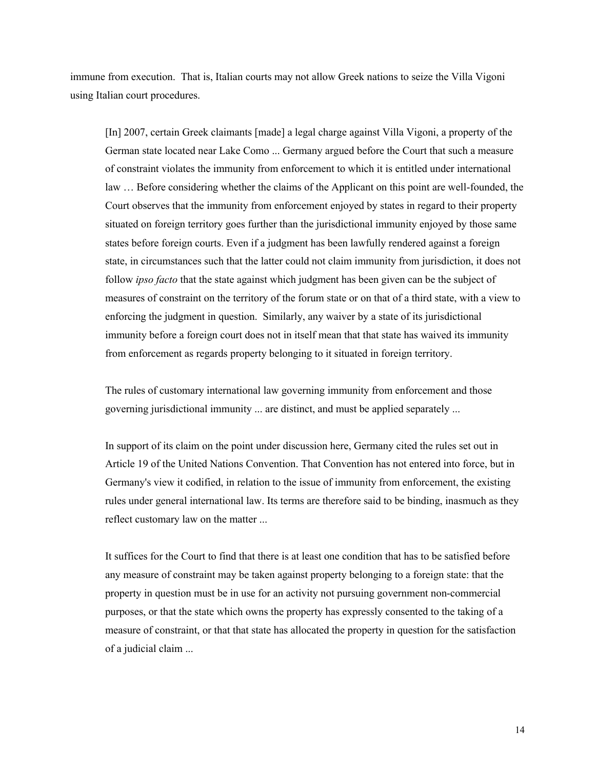immune from execution. That is, Italian courts may not allow Greek nations to seize the Villa Vigoni using Italian court procedures.

[In] 2007, certain Greek claimants [made] a legal charge against Villa Vigoni, a property of the German state located near Lake Como ... Germany argued before the Court that such a measure of constraint violates the immunity from enforcement to which it is entitled under international law … Before considering whether the claims of the Applicant on this point are well-founded, the Court observes that the immunity from enforcement enjoyed by states in regard to their property situated on foreign territory goes further than the jurisdictional immunity enjoyed by those same states before foreign courts. Even if a judgment has been lawfully rendered against a foreign state, in circumstances such that the latter could not claim immunity from jurisdiction, it does not follow *ipso facto* that the state against which judgment has been given can be the subject of measures of constraint on the territory of the forum state or on that of a third state, with a view to enforcing the judgment in question. Similarly, any waiver by a state of its jurisdictional immunity before a foreign court does not in itself mean that that state has waived its immunity from enforcement as regards property belonging to it situated in foreign territory.

The rules of customary international law governing immunity from enforcement and those governing jurisdictional immunity ... are distinct, and must be applied separately ...

In support of its claim on the point under discussion here, Germany cited the rules set out in Article 19 of the United Nations Convention. That Convention has not entered into force, but in Germany's view it codified, in relation to the issue of immunity from enforcement, the existing rules under general international law. Its terms are therefore said to be binding, inasmuch as they reflect customary law on the matter ...

It suffices for the Court to find that there is at least one condition that has to be satisfied before any measure of constraint may be taken against property belonging to a foreign state: that the property in question must be in use for an activity not pursuing government non-commercial purposes, or that the state which owns the property has expressly consented to the taking of a measure of constraint, or that that state has allocated the property in question for the satisfaction of a judicial claim ...